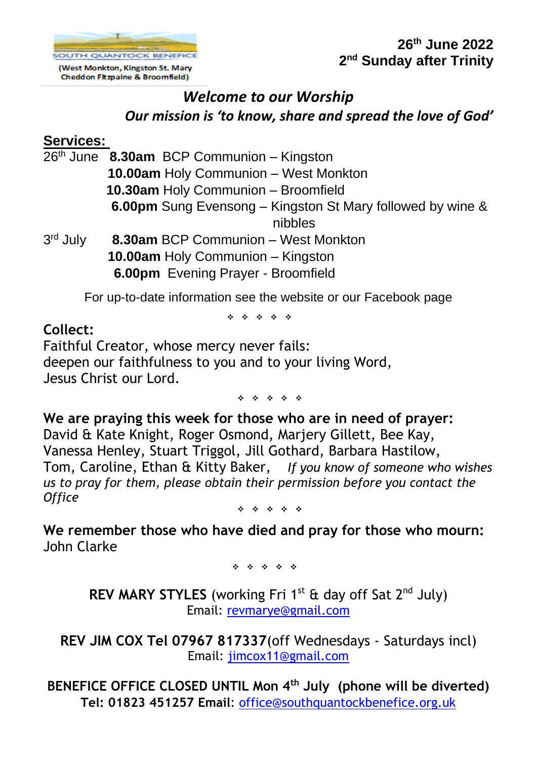

Cheddon Fitzpaine & Broomfield)

**26th June 2022 2 nd Sunday after Trinity**

# *Welcome to our Worship Our mission is 'to know, share and spread the love of God'*

### **Services:**

|                      | 26 <sup>th</sup> June 8.30am BCP Communion - Kingston      |
|----------------------|------------------------------------------------------------|
|                      | 10.00am Holy Communion - West Monkton                      |
|                      | 10.30am Holy Communion - Broomfield                        |
|                      | 6.00pm Sung Evensong – Kingston St Mary followed by wine & |
|                      | nibbles                                                    |
| 3 <sup>rd</sup> July | 8.30am BCP Communion - West Monkton                        |
|                      | 10.00am Holy Communion - Kingston                          |
|                      | 6.00pm Evening Prayer - Broomfield                         |
|                      |                                                            |

For up-to-date information see the website or our Facebook page

❖ ❖ ❖ ❖ ❖

#### **Collect:**

Faithful Creator, whose mercy never fails: deepen our faithfulness to you and to your living Word, Jesus Christ our Lord.

❖ ❖ ❖ ❖ ❖

**We are praying this week for those who are in need of prayer:**  David & Kate Knight, Roger Osmond, Marjery Gillett, Bee Kay, Vanessa Henley, Stuart Triggol, Jill Gothard, Barbara Hastilow, Tom, Caroline, Ethan & Kitty Baker, *If you know of someone who wishes us to pray for them, please obtain their permission before you contact the Office*

❖ ❖ ❖ ❖ ❖

**We remember those who have died and pray for those who mourn:**  John Clarke

❖ ❖ ❖ ❖ ❖

**REV MARY STYLES** (working Fri 1<sup>st</sup> & day off Sat 2<sup>nd</sup> July) Email: [revmarye@gmail.com](mailto:revmarye@gmail.com)

**REV JIM COX Tel 07967 817337**(off Wednesdays - Saturdays incl) Email: [jimcox11@gmail.com](mailto:jimcox11@gmail.com)

**BENEFICE OFFICE CLOSED UNTIL Mon 4th July (phone will be diverted) Tel: 01823 451257 Email**: [office@southquantockbenefice.org.uk](mailto:office@southquantockbenefice.org.uk)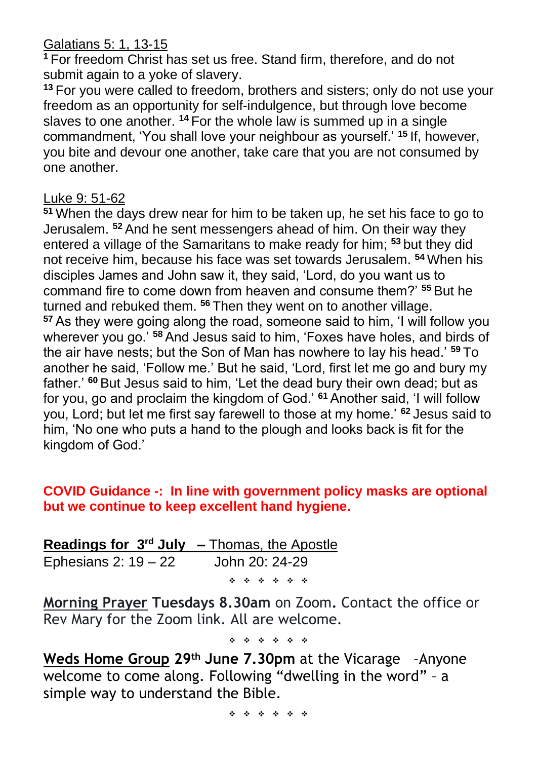Galatians 5: 1, 13-15

**<sup>1</sup>** For freedom Christ has set us free. Stand firm, therefore, and do not submit again to a yoke of slavery.

**<sup>13</sup>** For you were called to freedom, brothers and sisters; only do not use your freedom as an opportunity for self-indulgence, but through love become slaves to one another. <sup>14</sup> For the whole law is summed up in a single commandment, 'You shall love your neighbour as yourself.' **<sup>15</sup>** If, however, you bite and devour one another, take care that you are not consumed by one another.

#### Luke 9: 51-62

**<sup>51</sup>** When the days drew near for him to be taken up, he set his face to go to Jerusalem. **<sup>52</sup>** And he sent messengers ahead of him. On their way they entered a village of the Samaritans to make ready for him; **<sup>53</sup>** but they did not receive him, because his face was set towards Jerusalem. **<sup>54</sup>** When his disciples James and John saw it, they said, 'Lord, do you want us to command fire to come down from heaven and consume them?' **<sup>55</sup>** But he turned and rebuked them. **<sup>56</sup>** Then they went on to another village. **<sup>57</sup>** As they were going along the road, someone said to him, 'I will follow you wherever you go.' **<sup>58</sup>** And Jesus said to him, 'Foxes have holes, and birds of the air have nests; but the Son of Man has nowhere to lay his head.' **<sup>59</sup>** To another he said, 'Follow me.' But he said, 'Lord, first let me go and bury my father.' **<sup>60</sup>** But Jesus said to him, 'Let the dead bury their own dead; but as for you, go and proclaim the kingdom of God.' **<sup>61</sup>** Another said, 'I will follow you, Lord; but let me first say farewell to those at my home.' **<sup>62</sup>** Jesus said to him, 'No one who puts a hand to the plough and looks back is fit for the kingdom of God.'

#### **COVID Guidance -: In line with government policy masks are optional but we continue to keep excellent hand hygiene.**

|                      | <b>Readings for <math>3^{rd}</math> July – Thomas, the Apostle</b> |
|----------------------|--------------------------------------------------------------------|
| Ephesians 2: $19-22$ | John 20: 24-29                                                     |
|                      | * * * * * *                                                        |

**Morning Prayer Tuesdays 8.30am** on Zoom**.** Contact the office or Rev Mary for the Zoom link. All are welcome.

❖ ❖ ❖ ❖ ❖ ❖

**Weds Home Group 29th June 7.30pm** at the Vicarage –Anyone welcome to come along. Following "dwelling in the word" – a simple way to understand the Bible.

❖ ❖ ❖ ❖ ❖ ❖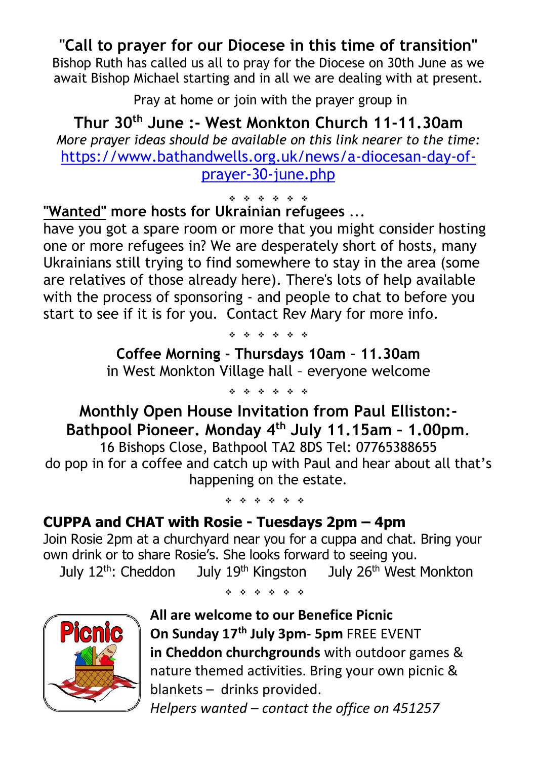# **"Call to prayer for our Diocese in this time of transition"**

Bishop Ruth has called us all to pray for the Diocese on 30th June as we await Bishop Michael starting and in all we are dealing with at present.

Pray at home or join with the prayer group in

**Thur 30th June :- West Monkton Church 11-11.30am** *More prayer ideas should be available on this link nearer to the time:* [https://www.bathandwells.org.uk/news/a-diocesan-day-of](https://www.bathandwells.org.uk/news/a-diocesan-day-of-prayer-30-june.php)[prayer-30-june.php](https://www.bathandwells.org.uk/news/a-diocesan-day-of-prayer-30-june.php)

❖ ❖ ❖ ❖ ❖ ❖ **"Wanted" more hosts for Ukrainian refugees** ...

have you got a spare room or more that you might consider hosting one or more refugees in? We are desperately short of hosts, many Ukrainians still trying to find somewhere to stay in the area (some are relatives of those already here). There's lots of help available with the process of sponsoring - and people to chat to before you start to see if it is for you. Contact Rev Mary for more info.

❖ ❖ ❖ ❖ ❖ ❖

**Coffee Morning - Thursdays 10am – 11.30am** in West Monkton Village hall – everyone welcome

❖ ❖ ❖ ❖ ❖ ❖

**Monthly Open House Invitation from Paul Elliston:- Bathpool Pioneer. Monday 4 th July 11.15am – 1.00pm**.

16 Bishops Close, Bathpool TA2 8DS Tel: 07765388655 do pop in for a coffee and catch up with Paul and hear about all that's happening on the estate.

❖ ❖ ❖ ❖ ❖ ❖

## **CUPPA and CHAT with Rosie - Tuesdays 2pm – 4pm**

Join Rosie 2pm at a churchyard near you for a cuppa and chat. Bring your own drink or to share Rosie's. She looks forward to seeing you.

July 12<sup>th</sup>: Cheddon July 19<sup>th</sup> Kingston July 26<sup>th</sup> West Monkton



❖ ❖ ❖ ❖ ❖ ❖

**All are welcome to our Benefice Picnic On Sunday 17th July 3pm- 5pm** FREE EVENT **in Cheddon churchgrounds** with outdoor games & nature themed activities. Bring your own picnic & blankets – drinks provided.

*Helpers wanted – contact the office on 451257*